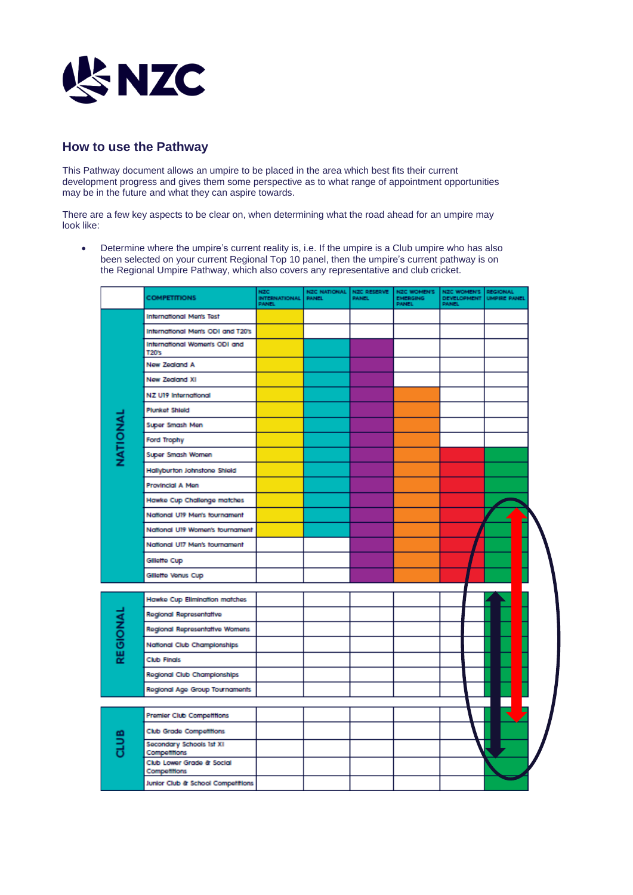

## **How to use the Pathway**

This Pathway document allows an umpire to be placed in the area which best fits their current development progress and gives them some perspective as to what range of appointment opportunities may be in the future and what they can aspire towards.

There are a few key aspects to be clear on, when determining what the road ahead for an umpire may look like:

• Determine where the umpire's current reality is, i.e. If the umpire is a Club umpire who has also been selected on your current Regional Top 10 panel, then the umpire's current pathway is on the Regional Umpire Pathway, which also covers any representative and club cricket.

|          | <b>COMPETITIONS</b>                       | <b>NZC</b><br><b>INTERNATIONAL</b><br><b>PANEL</b> | NZC NATIONAL NZC RESERVE<br><b>PANEL</b> | <b>PANEL</b> | <b>NZC WOMEN'S</b><br>EMERGING<br>PANEL | NZC WOMEN'S<br>DEVELOPMENT<br><b>PANEL</b> | <b>REGIONAL</b><br><b>UMPIRE PANEL</b> |  |
|----------|-------------------------------------------|----------------------------------------------------|------------------------------------------|--------------|-----------------------------------------|--------------------------------------------|----------------------------------------|--|
| NATIONAL | <b>International Men's Test</b>           |                                                    |                                          |              |                                         |                                            |                                        |  |
|          | Infernational Men's ODI and T20's         |                                                    |                                          |              |                                         |                                            |                                        |  |
|          | Infernational Women's ODI and<br>T20's    |                                                    |                                          |              |                                         |                                            |                                        |  |
|          | New Zealand A                             |                                                    |                                          |              |                                         |                                            |                                        |  |
|          | New Zealand XI                            |                                                    |                                          |              |                                         |                                            |                                        |  |
|          | NZ U19 International                      |                                                    |                                          |              |                                         |                                            |                                        |  |
|          | <b>Plunket Shield</b>                     |                                                    |                                          |              |                                         |                                            |                                        |  |
|          | Super Smash Men                           |                                                    |                                          |              |                                         |                                            |                                        |  |
|          | Ford Trophy                               |                                                    |                                          |              |                                         |                                            |                                        |  |
|          | Super Smash Women                         |                                                    |                                          |              |                                         |                                            |                                        |  |
|          | Hallyburton Johnstone Shield              |                                                    |                                          |              |                                         |                                            |                                        |  |
|          | Provincial A Men                          |                                                    |                                          |              |                                         |                                            |                                        |  |
|          | Hawke Cup Challenge matches               |                                                    |                                          |              |                                         |                                            |                                        |  |
|          | National UI9 Men's fournament             |                                                    |                                          |              |                                         |                                            |                                        |  |
|          | National UI9 Women's tournament           |                                                    |                                          |              |                                         |                                            |                                        |  |
|          | National UI7 Men's fournament             |                                                    |                                          |              |                                         |                                            |                                        |  |
|          | Gillette Cup                              |                                                    |                                          |              |                                         |                                            |                                        |  |
|          | Gillette Venus Cup                        |                                                    |                                          |              |                                         |                                            |                                        |  |
|          |                                           |                                                    |                                          |              |                                         |                                            |                                        |  |
| REGIONAL | Hawke Cup Elimination matches             |                                                    |                                          |              |                                         |                                            |                                        |  |
|          | <b>Regional Representative</b>            |                                                    |                                          |              |                                         |                                            |                                        |  |
|          | Regional Representative Womens            |                                                    |                                          |              |                                         |                                            |                                        |  |
|          | National Club Championships               |                                                    |                                          |              |                                         |                                            |                                        |  |
|          | <b>Club Finals</b>                        |                                                    |                                          |              |                                         |                                            |                                        |  |
|          | <b>Regional Club Championships</b>        |                                                    |                                          |              |                                         |                                            |                                        |  |
|          | Regional Age Group Tournaments            |                                                    |                                          |              |                                         |                                            |                                        |  |
|          | <b>Premier Club Competitions</b>          |                                                    |                                          |              |                                         |                                            |                                        |  |
|          | <b>Club Grade Competitions</b>            |                                                    |                                          |              |                                         |                                            |                                        |  |
|          | Secondary Schools 1st XI<br>Competitions  |                                                    |                                          |              |                                         |                                            |                                        |  |
|          | Club Lower Grade & Social<br>Competitions |                                                    |                                          |              |                                         |                                            |                                        |  |
|          | Junior Club & School Competitions         |                                                    |                                          |              |                                         |                                            |                                        |  |
|          |                                           |                                                    |                                          |              |                                         |                                            |                                        |  |